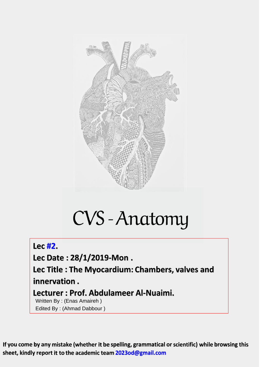

## CVS-Anatomy

## Lec $#2.$

Lec Date: 28/1/2019-Mon.

Lec Title: The Myocardium: Chambers, valves and innervation.

## Lecturer : Prof. Abdulameer Al-Nuaimi.

Written By: (Enas Amaireh) Edited By: (Ahmad Dabbour)

If you come by any mistake (whether it be spelling, grammatical or scientific) while browsing this sheet, kindly report it to the academic team 2023od@gmail.com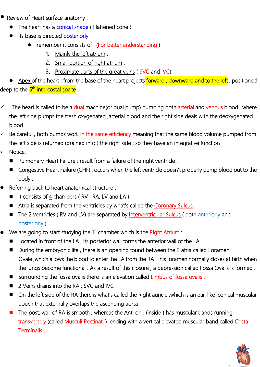- Review of Heart surface anatomy :
	- The heart has a conical shape ( Flattened cone ).
	- Its base is directed posteriorly
		- remember it consists of : (For better understanding )
			- 1. Mainly the left atrium .
			- 2. Small portion of right atrium .
			- 3. Proximate parts of the great veins ( SVC and IVC).

Apex of the heart : from the base of the heart projects forward, downward and to the left, positioned deep to the  $5^{\mathsf{th}}$  intercostal space .

- $\checkmark$  The heart is called to be a dual machine(or dual pump) pumping both arterial and venous blood, where the left side pumps the fresh oxygenated ,arterial blood and the right side deals with the deoxygenated blood .
- $\checkmark$  Be careful, both pumps work in the same efficiency meaning that the same blood volume pumped from the left side is returned (drained into ) the right side ; so they have an integrative function .
- $\checkmark$  Notice:
	- Pulmonary Heart Failure : result from a failure of the right ventricle .
	- Congestive Heart Failure (CHF) : occurs when the left ventricle doesn't properly pump blood out to the body .
- Referring back to heart anatomical structure :
	- It consists of 4 chambers ( RV , RA, LV and LA )
	- Atria is separated from the ventricles by what's called the Coronary Sulcus.
	- The 2 ventricles (RV and LV) are separated by Interventricular Sulcus (both anteriorly and posteriorly ).
- We are going to start studying the 1<sup>st</sup> chamber which is the Right Atrium :
	- Located in front of the LA, its posterior wall forms the anterior wall of the LA.
	- During the embryonic life, there is an opening found between the 2 atria called Foramen Ovale ,which allowsthe blood to enter the LA from the RA .This foramen normally closes at birth when the lungs become functional . As a result of this closure , a depression called Fossa Ovalis is formed .
	- Surrounding the fossa ovalis there is an elevation called Limbus of fossa ovalis.
	- 2 Veins drains into the RA : SVC and IVC .
	- On the left side of the RA there is what's called the Right auricle ,which is an ear-like ,conical muscular pouch that externally overlaps the ascending aorta .
	- The post. wall of RA is smooth, whereas the Ant. one (inside) has muscular bands running transversely (called Musculi Pectinati ) ,ending with a vertical elevated muscular band called Crista Terminalis .

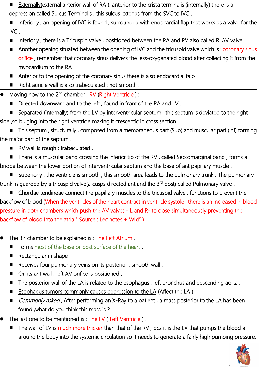- Externally(external anterior wall of RA ), anterior to the crista terminalis (internally) there is a depression called Sulcus Terminalis, this sulcus extends from the SVC to IVC.
- Inferiorly , an opening of IVC is found , surrounded with endocardial flap that works as a valve for the IVC .
- Inferiorly, there is a Tricuspid valve, positioned between the RA and RV also called R. AV valve.
- Another opening situated between the opening of IVC and the tricuspid valve which is: coronary sinus orifice , remember that coronary sinus delivers the less-oxygenated blood after collecting it from the myocardium to the RA .
- Anterior to the opening of the coronary sinus there is also endocardial falp.
- Right auricle wall is also trabeculated ; not smooth .
- Moving now to the 2<sup>nd</sup> chamber, RV (Right Ventricle ) :
	- Directed downward and to the left, found in front of the RA and LV.
- Separated (internally) from the LV by interventricular septum , this septum is deviated to the right side ,so bulging into the right ventricle making it crescentic in cross section .
- This septum , structurally , composed from a membraneous part (Sup) and muscular part (inf) forming the major part of the septum .
	- RV wall is rough ; trabeculated .
- There is a muscular band crossing the inferior tip of the RV , called Septomarginal band , forms a bridge between the lower portion of interventricular septum and the base of ant papillary muscle .
- Superiorly , the ventricle is smooth , this smooth area leads to the pulmonary trunk . The pulmonary trunk in guarded by a tricuspid valve(2 cusps directed ant and the 3<sup>rd</sup> post) called Pulmonary valve .
- Chordae tendineae connect the papillary muscles to the tricuspid valve, functions to prevent the backflow of blood (When the ventricles of the heart contract in ventricle systole , there is an increased in blood pressure in both chambers which push the AV valves - L and R- to close simultaneously preventing the backflow of blood into the atria "Source : Lec notes + Wiki" )
- The 3<sup>rd</sup> chamber to be explained is : The Left Atrium .
	- Forms most of the base or post surface of the heart .
	- Rectangular in shape.
	- Receives four pulmonary veins on its posterior, smooth wall.
	- On its ant wall, left AV orifice is positioned.
	- The posterior wall of the LA is related to the esophagus, left bronchus and descending aorta.
	- **E** Esophagus tumors commonly causes depression to the LA (Affect the LA).
	- Commonly asked, After performing an X-Ray to a patient, a mass posterior to the LA has been found ,what do you think this mass is ?
- The last one to be mentioned is : The LV ( Left Ventricle ) .
	- The wall of LV is much more thicker than that of the RV; bcz it is the LV that pumps the blood all around the body into the systemic circulation so it needs to generate a fairly high pumping pressure.